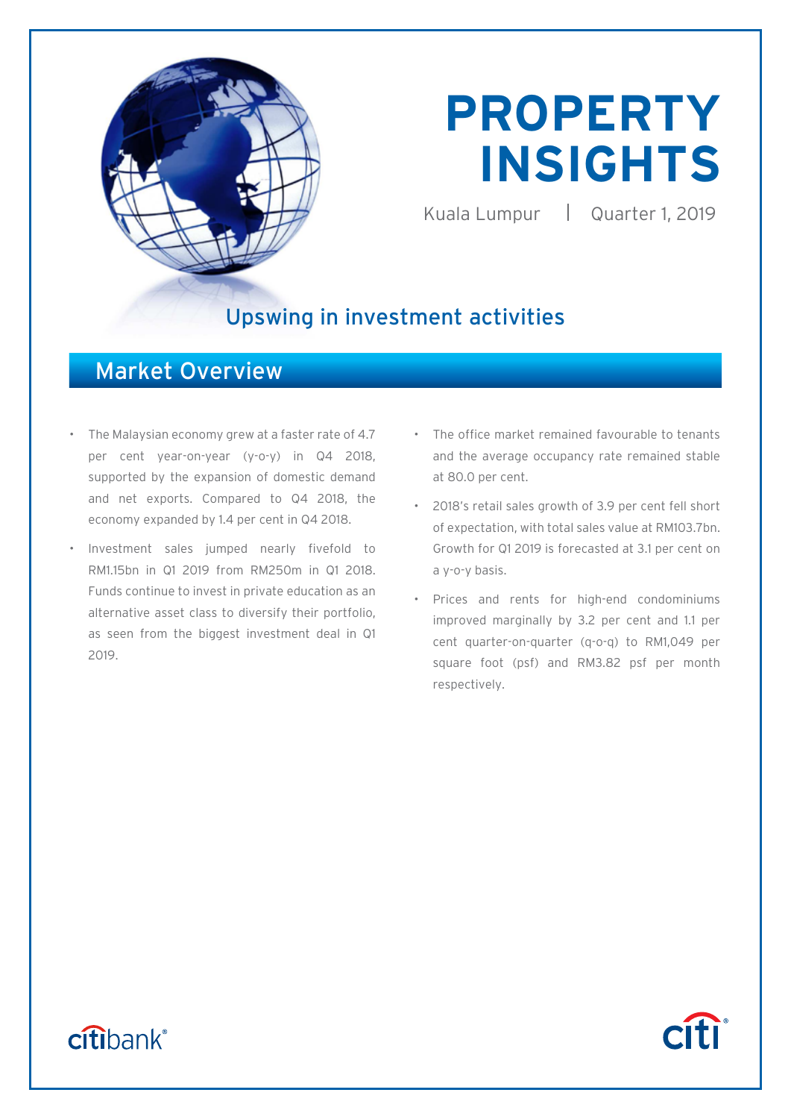

# **PROPERTY INSIGHTS**

Kuala Lumpur | Quarter 1, 2019

## Upswing in investment activities

### Market Overview

- The Malaysian economy grew at a faster rate of 4.7 per cent year-on-year (y-o-y) in Q4 2018, supported by the expansion of domestic demand and net exports. Compared to Q4 2018, the economy expanded by 1.4 per cent in Q4 2018.
- Investment sales jumped nearly fivefold to RM1.15bn in Q1 2019 from RM250m in Q1 2018. Funds continue to invest in private education as an alternative asset class to diversify their portfolio, as seen from the biggest investment deal in Q1 2019.
- The office market remained favourable to tenants and the average occupancy rate remained stable at 80.0 per cent.
- 2018's retail sales growth of 3.9 per cent fell short of expectation, with total sales value at RM103.7bn. Growth for Q1 2019 is forecasted at 3.1 per cent on a y-o-y basis.
- Prices and rents for high-end condominiums improved marginally by 3.2 per cent and 1.1 per cent quarter-on-quarter (q-o-q) to RM1,049 per square foot (psf) and RM3.82 psf per month respectively.

# citibank®

# **Citi**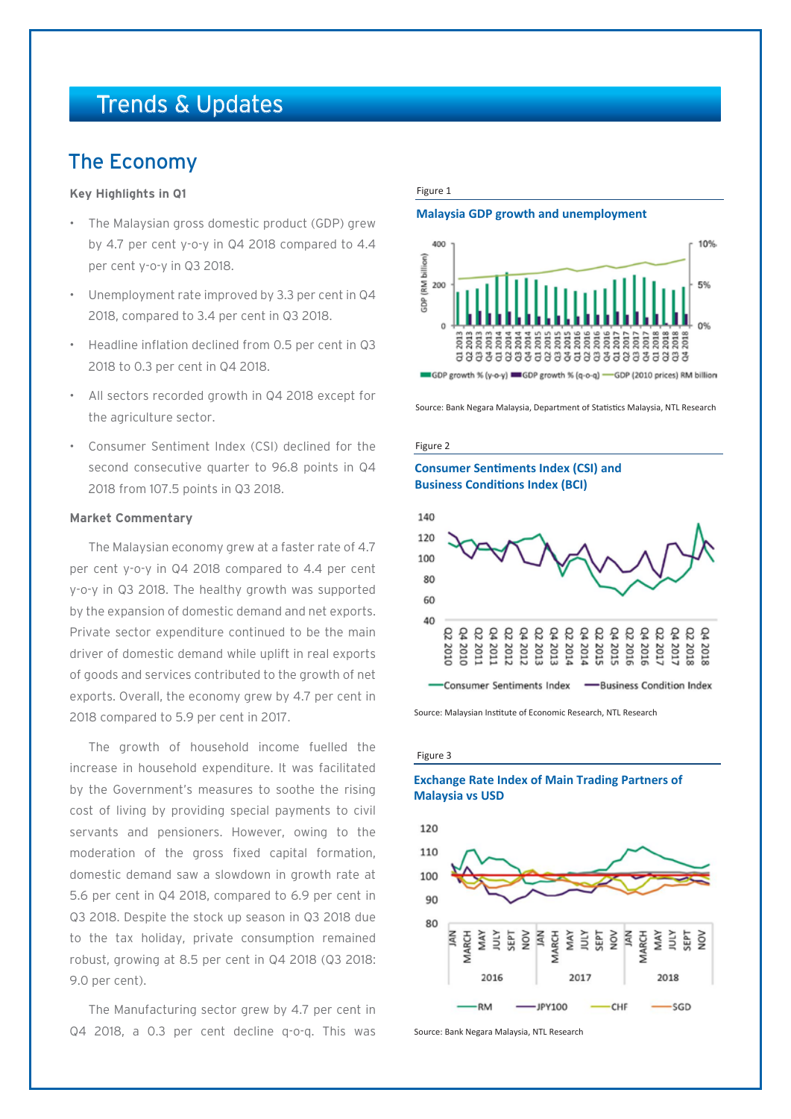## Trends & Updates

### The Economy

### **Key Highlights in Q1**

- The Malaysian gross domestic product (GDP) grew by 4.7 per cent y-o-y in Q4 2018 compared to 4.4 per cent y-o-y in Q3 2018.
- Unemployment rate improved by 3.3 per cent in Q4 2018, compared to 3.4 per cent in Q3 2018.
- Headline inflation declined from 0.5 per cent in Q3 2018 to 0.3 per cent in Q4 2018.
- All sectors recorded growth in Q4 2018 except for the agriculture sector.
- Consumer Sentiment Index (CSI) declined for the second consecutive quarter to 96.8 points in Q4 2018 from 107.5 points in Q3 2018.

### **Market Commentary**

The Malaysian economy grew at a faster rate of 4.7 per cent y-o-y in Q4 2018 compared to 4.4 per cent y-o-y in Q3 2018. The healthy growth was supported by the expansion of domestic demand and net exports. Private sector expenditure continued to be the main driver of domestic demand while uplift in real exports of goods and services contributed to the growth of net exports. Overall, the economy grew by 4.7 per cent in 2018 compared to 5.9 per cent in 2017.

The growth of household income fuelled the increase in household expenditure. It was facilitated by the Government's measures to soothe the rising cost of living by providing special payments to civil servants and pensioners. However, owing to the moderation of the gross fixed capital formation, domestic demand saw a slowdown in growth rate at 5.6 per cent in Q4 2018, compared to 6.9 per cent in Q3 2018. Despite the stock up season in Q3 2018 due to the tax holiday, private consumption remained robust, growing at 8.5 per cent in Q4 2018 (Q3 2018: 9.0 per cent).

The Manufacturing sector grew by 4.7 per cent in Q4 2018, a 0.3 per cent decline q-o-q. This was

### Figure 1

### **Malaysia GDP growth and unemployment**



Source: Bank Negara Malaysia, Department of Statistics Malaysia, NTL Research

#### Figure 2

### **Consumer Sentiments Index (CSI) and Business Conditions Index (BCI)**



Source: Malaysian Institute of Economic Research, NTL Research

#### Figure 3

### **Exchange Rate Index of Main Trading Partners of Malaysia vs USD**



Source: Bank Negara Malaysia, NTL Research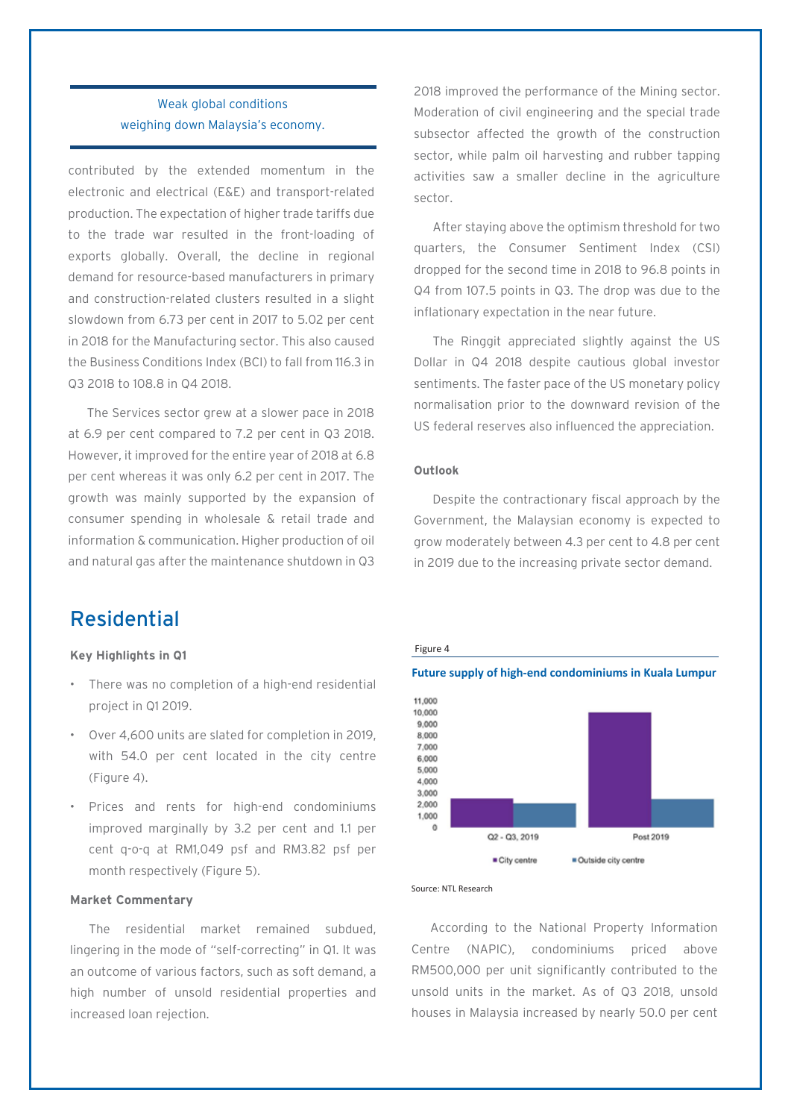### Weak global conditions weighing down Malaysia's economy.

contributed by the extended momentum in the electronic and electrical (E&E) and transport-related production. The expectation of higher trade tariffs due to the trade war resulted in the front-loading of exports globally. Overall, the decline in regional demand for resource-based manufacturers in primary and construction-related clusters resulted in a slight slowdown from 6.73 per cent in 2017 to 5.02 per cent in 2018 for the Manufacturing sector. This also caused the Business Conditions Index (BCI) to fall from 116.3 in Q3 2018 to 108.8 in Q4 2018.

The Services sector grew at a slower pace in 2018 at 6.9 per cent compared to 7.2 per cent in Q3 2018. However, it improved for the entire year of 2018 at 6.8 per cent whereas it was only 6.2 per cent in 2017. The growth was mainly supported by the expansion of consumer spending in wholesale & retail trade and information & communication. Higher production of oil and natural gas after the maintenance shutdown in Q3

Residential

### **Key Highlights in Q1**

- There was no completion of a high-end residential project in Q1 2019.
- Over 4,600 units are slated for completion in 2019, with 54.0 per cent located in the city centre (Figure 4).
- Prices and rents for high-end condominiums improved marginally by 3.2 per cent and 1.1 per cent q-o-q at RM1,049 psf and RM3.82 psf per month respectively (Figure 5).

### **Market Commentary**

The residential market remained subdued, lingering in the mode of "self-correcting" in Q1. It was an outcome of various factors, such as soft demand, a high number of unsold residential properties and increased loan rejection.

2018 improved the performance of the Mining sector. Moderation of civil engineering and the special trade subsector affected the growth of the construction sector, while palm oil harvesting and rubber tapping activities saw a smaller decline in the agriculture sector.

After staying above the optimism threshold for two quarters, the Consumer Sentiment Index (CSI) dropped for the second time in 2018 to 96.8 points in Q4 from 107.5 points in Q3. The drop was due to the inflationary expectation in the near future.

The Ringgit appreciated slightly against the US Dollar in Q4 2018 despite cautious global investor sentiments. The faster pace of the US monetary policy normalisation prior to the downward revision of the US federal reserves also influenced the appreciation.

### **Outlook**

Despite the contractionary fiscal approach by the Government, the Malaysian economy is expected to grow moderately between 4.3 per cent to 4.8 per cent in 2019 due to the increasing private sector demand.



#### Source: NTL Research

According to the National Property Information Centre (NAPIC), condominiums priced above RM500,000 per unit significantly contributed to the unsold units in the market. As of Q3 2018, unsold houses in Malaysia increased by nearly 50.0 per cent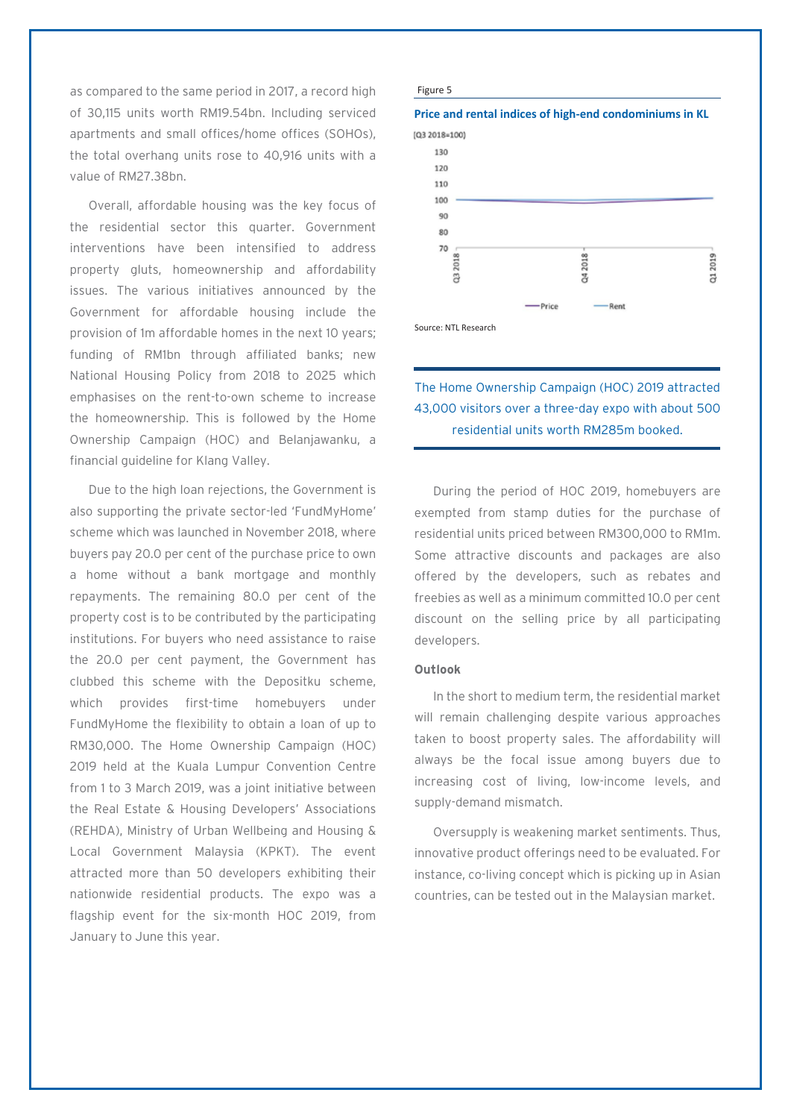as compared to the same period in 2017, a record high of 30,115 units worth RM19.54bn. Including serviced apartments and small offices/home offices (SOHOs), the total overhang units rose to 40,916 units with a value of RM27.38bn.

Overall, affordable housing was the key focus of the residential sector this quarter. Government interventions have been intensified to address property gluts, homeownership and affordability issues. The various initiatives announced by the Government for affordable housing include the provision of 1m affordable homes in the next 10 years; funding of RM1bn through affiliated banks; new National Housing Policy from 2018 to 2025 which emphasises on the rent-to-own scheme to increase the homeownership. This is followed by the Home Ownership Campaign (HOC) and Belanjawanku, a financial guideline for Klang Valley.

Due to the high loan rejections, the Government is also supporting the private sector-led 'FundMyHome' scheme which was launched in November 2018, where buyers pay 20.0 per cent of the purchase price to own a home without a bank mortgage and monthly repayments. The remaining 80.0 per cent of the property cost is to be contributed by the participating institutions. For buyers who need assistance to raise the 20.0 per cent payment, the Government has clubbed this scheme with the Depositku scheme, which provides first-time homebuyers under FundMyHome the flexibility to obtain a loan of up to RM30,000. The Home Ownership Campaign (HOC) 2019 held at the Kuala Lumpur Convention Centre from 1 to 3 March 2019, was a joint initiative between the Real Estate & Housing Developers' Associations (REHDA), Ministry of Urban Wellbeing and Housing & Local Government Malaysia (KPKT). The event attracted more than 50 developers exhibiting their nationwide residential products. The expo was a flagship event for the six-month HOC 2019, from January to June this year.

#### Figure 5





Source: NTL Research

### The Home Ownership Campaign (HOC) 2019 attracted 43,000 visitors over a three-day expo with about 500 residential units worth RM285m booked.

During the period of HOC 2019, homebuyers are exempted from stamp duties for the purchase of residential units priced between RM300,000 to RM1m. Some attractive discounts and packages are also offered by the developers, such as rebates and freebies as well as a minimum committed 10.0 per cent discount on the selling price by all participating developers.

### **Outlook**

In the short to medium term, the residential market will remain challenging despite various approaches taken to boost property sales. The affordability will always be the focal issue among buyers due to increasing cost of living, low-income levels, and supply-demand mismatch.

Oversupply is weakening market sentiments. Thus, innovative product offerings need to be evaluated. For instance, co-living concept which is picking up in Asian countries, can be tested out in the Malaysian market.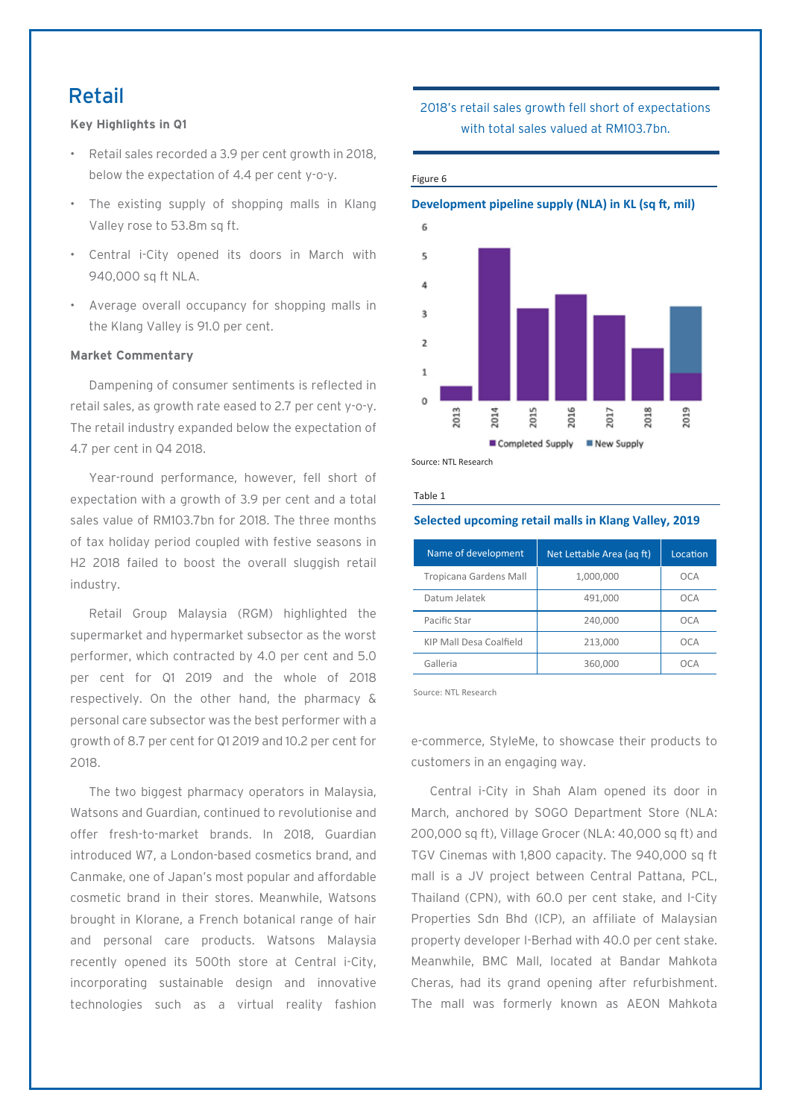### Retail

**Key Highlights in Q1**

- Retail sales recorded a 3.9 per cent growth in 2018, below the expectation of 4.4 per cent y-o-y.
- The existing supply of shopping malls in Klang Valley rose to 53.8m sq ft.
- Central i-City opened its doors in March with 940,000 sq ft NLA.
- Average overall occupancy for shopping malls in the Klang Valley is 91.0 per cent.

### **Market Commentary**

Dampening of consumer sentiments is reflected in retail sales, as growth rate eased to 2.7 per cent y-o-y. The retail industry expanded below the expectation of 4.7 per cent in Q4 2018.

Year-round performance, however, fell short of expectation with a growth of 3.9 per cent and a total sales value of RM103.7bn for 2018. The three months of tax holiday period coupled with festive seasons in H2 2018 failed to boost the overall sluggish retail industry.

Retail Group Malaysia (RGM) highlighted the supermarket and hypermarket subsector as the worst performer, which contracted by 4.0 per cent and 5.0 per cent for Q1 2019 and the whole of 2018 respectively. On the other hand, the pharmacy & personal care subsector was the best performer with a growth of 8.7 per cent for Q1 2019 and 10.2 per cent for 2018.

The two biggest pharmacy operators in Malaysia, Watsons and Guardian, continued to revolutionise and offer fresh-to-market brands. In 2018, Guardian introduced W7, a London-based cosmetics brand, and Canmake, one of Japan's most popular and affordable cosmetic brand in their stores. Meanwhile, Watsons brought in Klorane, a French botanical range of hair and personal care products. Watsons Malaysia recently opened its 500th store at Central i-City, incorporating sustainable design and innovative technologies such as a virtual reality fashion 2018's retail sales growth fell short of expectations with total sales valued at RM103.7bn.

#### Figure 6

### **Development pipeline supply (NLA) in KL (sq ft, mil)** 6  $\overline{\phantom{a}}$ 4  $\overline{a}$  $\overline{2}$  $\mathbf{1}$ O 2016 1019 2013 1014 **ST0** 1018 2017 Completed Supply New Supply

Source: NTL Research

Table 1

### **Selected upcoming retail malls in Klang Valley, 2019**

| Name of development     | Net Lettable Area (ag ft) | Location |  |
|-------------------------|---------------------------|----------|--|
| Tropicana Gardens Mall  | 1,000,000                 | OCA      |  |
| Datum Jelatek           | 491,000                   | OCA      |  |
| Pacific Star            | 240,000                   | OCA      |  |
| KIP Mall Desa Coalfield | 213,000                   | OCA      |  |
| Galleria                | 360,000                   |          |  |
|                         |                           |          |  |

Source: NTL Research

e-commerce, StyleMe, to showcase their products to customers in an engaging way.

Central i-City in Shah Alam opened its door in March, anchored by SOGO Department Store (NLA: 200,000 sq ft), Village Grocer (NLA: 40,000 sq ft) and TGV Cinemas with 1,800 capacity. The 940,000 sq ft mall is a JV project between Central Pattana, PCL, Thailand (CPN), with 60.0 per cent stake, and I-City Properties Sdn Bhd (ICP), an affiliate of Malaysian property developer I-Berhad with 40.0 per cent stake. Meanwhile, BMC Mall, located at Bandar Mahkota Cheras, had its grand opening after refurbishment. The mall was formerly known as AEON Mahkota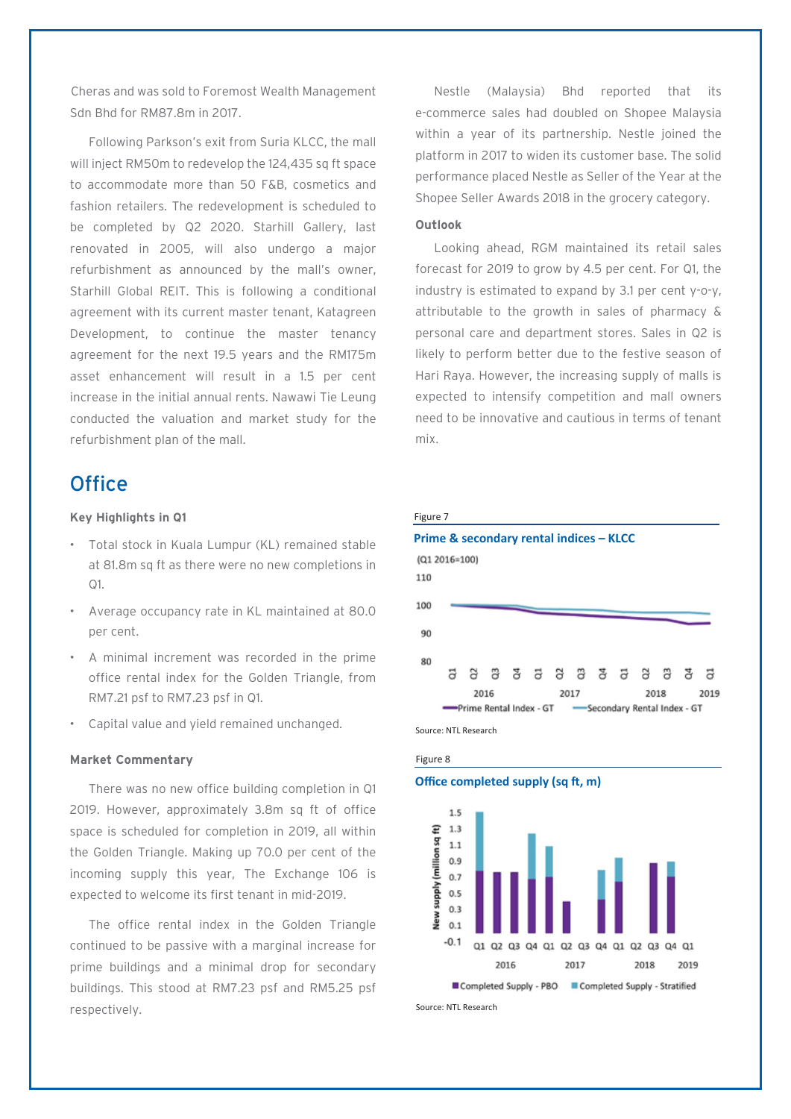Cheras and was sold to Foremost Wealth Management Sdn Bhd for RM87.8m in 2017.

Following Parkson's exit from Suria KLCC, the mall will inject RM50m to redevelop the 124,435 sq ft space to accommodate more than 50 F&B, cosmetics and fashion retailers. The redevelopment is scheduled to be completed by Q2 2020. Starhill Gallery, last renovated in 2005, will also undergo a major refurbishment as announced by the mall's owner, Starhill Global REIT. This is following a conditional agreement with its current master tenant, Katagreen Development, to continue the master tenancy agreement for the next 19.5 years and the RM175m asset enhancement will result in a 1.5 per cent increase in the initial annual rents. Nawawi Tie Leung conducted the valuation and market study for the refurbishment plan of the mall.

### **Office**

### **Key Highlights in Q1**

- Total stock in Kuala Lumpur (KL) remained stable at 81.8m sq ft as there were no new completions in Q1.
- Average occupancy rate in KL maintained at 80.0 per cent.
- A minimal increment was recorded in the prime office rental index for the Golden Triangle, from RM7.21 psf to RM7.23 psf in Q1.
- Capital value and yield remained unchanged.

### **Market Commentary**

There was no new office building completion in Q1 2019. However, approximately 3.8m sq ft of office space is scheduled for completion in 2019, all within the Golden Triangle. Making up 70.0 per cent of the incoming supply this year, The Exchange 106 is expected to welcome its first tenant in mid-2019.

The office rental index in the Golden Triangle continued to be passive with a marginal increase for prime buildings and a minimal drop for secondary buildings. This stood at RM7.23 psf and RM5.25 psf respectively.

Nestle (Malaysia) Bhd reported that its e-commerce sales had doubled on Shopee Malaysia within a year of its partnership. Nestle joined the platform in 2017 to widen its customer base. The solid performance placed Nestle as Seller of the Year at the Shopee Seller Awards 2018 in the grocery category.

### **Outlook**

Looking ahead, RGM maintained its retail sales forecast for 2019 to grow by 4.5 per cent. For Q1, the industry is estimated to expand by 3.1 per cent y-o-y, attributable to the growth in sales of pharmacy & personal care and department stores. Sales in Q2 is likely to perform better due to the festive season of Hari Raya. However, the increasing supply of malls is expected to intensify competition and mall owners need to be innovative and cautious in terms of tenant mix.







### **Office completed supply (sq ft, m)**



Source: NTL Research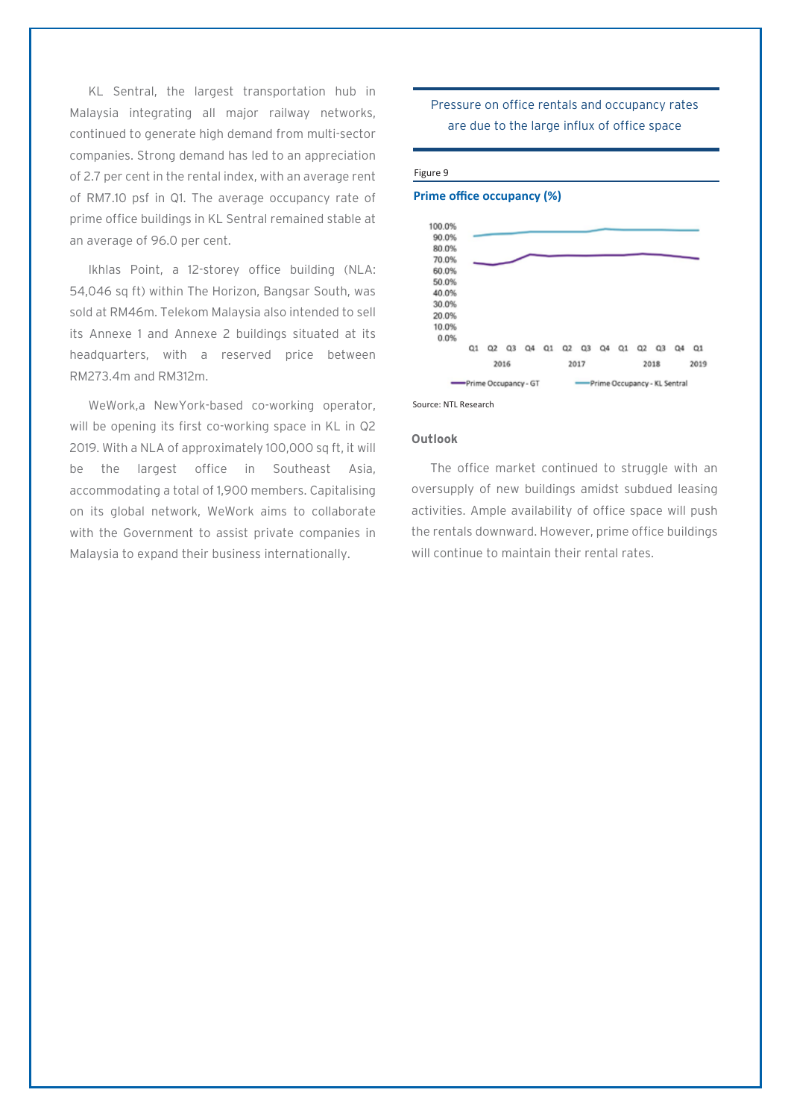KL Sentral, the largest transportation hub in Malaysia integrating all major railway networks, continued to generate high demand from multi-sector companies. Strong demand has led to an appreciation of 2.7 per cent in the rental index, with an average rent of RM7.10 psf in Q1. The average occupancy rate of prime office buildings in KL Sentral remained stable at an average of 96.0 per cent.

Ikhlas Point, a 12-storey office building (NLA: 54,046 sq ft) within The Horizon, Bangsar South, was sold at RM46m. Telekom Malaysia also intended to sell its Annexe 1 and Annexe 2 buildings situated at its headquarters, with a reserved price between RM273.4m and RM312m.

WeWork,a NewYork-based co-working operator, will be opening its first co-working space in KL in Q2 2019. With a NLA of approximately 100,000 sq ft, it will be the largest office in Southeast Asia, accommodating a total of 1,900 members. Capitalising on its global network, WeWork aims to collaborate with the Government to assist private companies in Malaysia to expand their business internationally.

### Pressure on office rentals and occupancy rates are due to the large influx of office space

#### Figure 9

### **Prime office occupancy (%)**



Source: NTL Research

### **Outlook**

The office market continued to struggle with an oversupply of new buildings amidst subdued leasing activities. Ample availability of office space will push the rentals downward. However, prime office buildings will continue to maintain their rental rates.